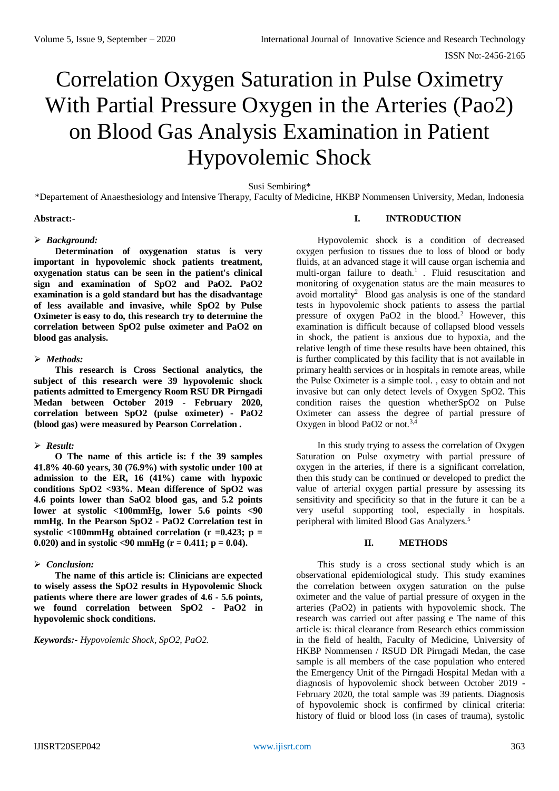# Correlation Oxygen Saturation in Pulse Oximetry With Partial Pressure Oxygen in the Arteries (Pao2) on Blood Gas Analysis Examination in Patient Hypovolemic Shock

Susi Sembiring\*

\*Departement of Anaesthesiology and Intensive Therapy, Faculty of Medicine, HKBP Nommensen University, Medan, Indonesia

# **Abstract:-**

# *Background:*

**Determination of oxygenation status is very important in hypovolemic shock patients treatment, oxygenation status can be seen in the patient's clinical sign and examination of SpO2 and PaO2. PaO2 examination is a gold standard but has the disadvantage of less available and invasive, while SpO2 by Pulse Oximeter is easy to do, this research try to determine the correlation between SpO2 pulse oximeter and PaO2 on blood gas analysis.**

#### *Methods:*

**This research is Cross Sectional analytics, the subject of this research were 39 hypovolemic shock patients admitted to Emergency Room RSU DR Pirngadi Medan between October 2019 - February 2020, correlation between SpO2 (pulse oximeter) - PaO2 (blood gas) were measured by Pearson Correlation .**

# *Result:*

**O The name of this article is: f the 39 samples 41.8% 40-60 years, 30 (76.9%) with systolic under 100 at admission to the ER, 16 (41%) came with hypoxic conditions SpO2 <93%. Mean difference of SpO2 was 4.6 points lower than SaO2 blood gas, and 5.2 points lower at systolic <100mmHg, lower 5.6 points <90 mmHg. In the Pearson SpO2 - PaO2 Correlation test in**  systolic  $\langle 100 \text{mmHg}$  obtained correlation ( $r = 0.423$ ;  $p =$ 0.020) and in systolic  $\langle 90 \text{ mmHg} (r = 0.411; p = 0.04)$ .

# *Conclusion:*

**The name of this article is: Clinicians are expected to wisely assess the SpO2 results in Hypovolemic Shock patients where there are lower grades of 4.6 - 5.6 points, we found correlation between SpO2 - PaO2 in hypovolemic shock conditions.**

# *Keywords:- Hypovolemic Shock, SpO2, PaO2.*

#### **I. INTRODUCTION**

Hypovolemic shock is a condition of decreased oxygen perfusion to tissues due to loss of blood or body fluids, at an advanced stage it will cause organ ischemia and multi-organ failure to death.<sup>1</sup> . Fluid resuscitation and monitoring of oxygenation status are the main measures to avoid mortality<sup>2</sup> Blood gas analysis is one of the standard tests in hypovolemic shock patients to assess the partial pressure of oxygen PaO2 in the blood.<sup>2</sup> However, this examination is difficult because of collapsed blood vessels in shock, the patient is anxious due to hypoxia, and the relative length of time these results have been obtained, this is further complicated by this facility that is not available in primary health services or in hospitals in remote areas, while the Pulse Oximeter is a simple tool. , easy to obtain and not invasive but can only detect levels of Oxygen SpO2. This condition raises the question whetherSpO2 on Pulse Oximeter can assess the degree of partial pressure of Oxygen in blood PaO2 or not.<sup>3,4</sup>

In this study trying to assess the correlation of Oxygen Saturation on Pulse oxymetry with partial pressure of oxygen in the arteries, if there is a significant correlation, then this study can be continued or developed to predict the value of arterial oxygen partial pressure by assessing its sensitivity and specificity so that in the future it can be a very useful supporting tool, especially in hospitals. peripheral with limited Blood Gas Analyzers.<sup>5</sup>

# **II. METHODS**

This study is a cross sectional study which is an observational epidemiological study. This study examines the correlation between oxygen saturation on the pulse oximeter and the value of partial pressure of oxygen in the arteries (PaO2) in patients with hypovolemic shock. The research was carried out after passing e The name of this article is: thical clearance from Research ethics commission in the field of health, Faculty of Medicine, University of HKBP Nommensen / RSUD DR Pirngadi Medan, the case sample is all members of the case population who entered the Emergency Unit of the Pirngadi Hospital Medan with a diagnosis of hypovolemic shock between October 2019 - February 2020, the total sample was 39 patients. Diagnosis of hypovolemic shock is confirmed by clinical criteria: history of fluid or blood loss (in cases of trauma), systolic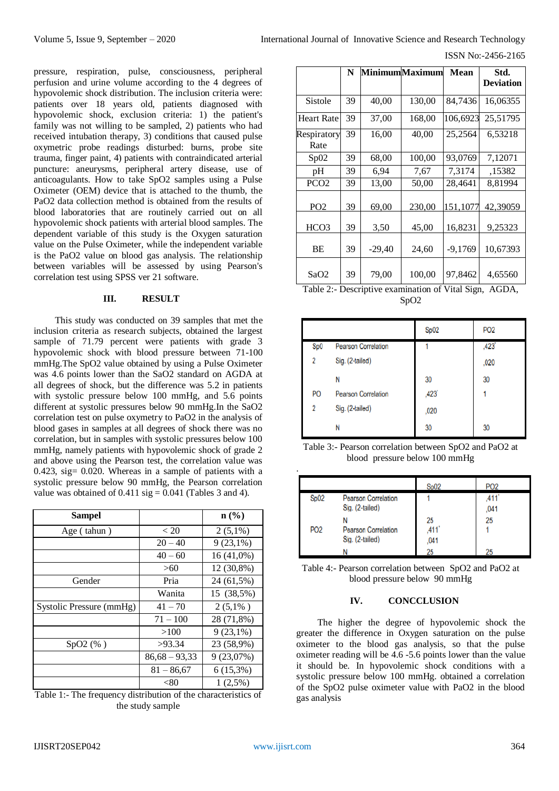ISSN No:-2456-2165

pressure, respiration, pulse, consciousness, peripheral perfusion and urine volume according to the 4 degrees of hypovolemic shock distribution. The inclusion criteria were: patients over 18 years old, patients diagnosed with hypovolemic shock, exclusion criteria: 1) the patient's family was not willing to be sampled, 2) patients who had received intubation therapy, 3) conditions that caused pulse oxymetric probe readings disturbed: burns, probe site trauma, finger paint, 4) patients with contraindicated arterial puncture: aneurysms, peripheral artery disease, use of anticoagulants. How to take SpO2 samples using a Pulse Oximeter (OEM) device that is attached to the thumb, the PaO2 data collection method is obtained from the results of blood laboratories that are routinely carried out on all hypovolemic shock patients with arterial blood samples. The dependent variable of this study is the Oxygen saturation value on the Pulse Oximeter, while the independent variable is the PaO2 value on blood gas analysis. The relationship between variables will be assessed by using Pearson's correlation test using SPSS ver 21 software.

#### **III. RESULT**

This study was conducted on 39 samples that met the inclusion criteria as research subjects, obtained the largest sample of 71.79 percent were patients with grade 3 hypovolemic shock with blood pressure between 71-100 mmHg.The SpO2 value obtained by using a Pulse Oximeter was 4.6 points lower than the SaO2 standard on AGDA at all degrees of shock, but the difference was 5.2 in patients with systolic pressure below 100 mmHg, and 5.6 points different at systolic pressures below 90 mmHg.In the SaO2 correlation test on pulse oxymetry to PaO2 in the analysis of blood gases in samples at all degrees of shock there was no correlation, but in samples with systolic pressures below 100 mmHg, namely patients with hypovolemic shock of grade 2 and above using the Pearson test, the correlation value was 0.423, sig= 0.020. Whereas in a sample of patients with a systolic pressure below 90 mmHg, the Pearson correlation value was obtained of  $0.411$  sig =  $0.041$  (Tables 3 and 4).

| <b>Sampel</b>            |                 | $\mathbf{n}(\%)$ |
|--------------------------|-----------------|------------------|
| Age (tahun)              | < 20            | $2(5,1\%)$       |
|                          | $20 - 40$       | $9(23,1\%)$      |
|                          | $40 - 60$       | $16(41,0\%)$     |
|                          | >60             | 12 (30,8%)       |
| Gender                   | Pria            | 24 (61,5%)       |
|                          | Wanita          | 15 (38,5%)       |
| Systolic Pressure (mmHg) | $41 - 70$       | $2(5,1\%)$       |
|                          | $71 - 100$      | 28 (71,8%)       |
|                          | >100            | $9(23,1\%)$      |
| SpO2(% )                 | >93.34          | 23 (58,9%)       |
|                          | $86,68 - 93,33$ | 9 (23,07%)       |
|                          | $81 - 86,67$    | $6(15,3\%)$      |
|                          | $< \!\!80$      | 1(2,5%)          |

Table 1:- The frequency distribution of the characteristics of the study sample

|                     | N  |          | <b>Minimum</b> Maximum | Mean      | Std.<br><b>Deviation</b> |
|---------------------|----|----------|------------------------|-----------|--------------------------|
| Sistole             | 39 | 40,00    | 130,00                 | 84,7436   | 16.06355                 |
| Heart Rate          | 39 | 37,00    | 168,00                 | 106,6923  | 25,51795                 |
| Respiratory<br>Rate | 39 | 16,00    | 40,00                  | 25,2564   | 6,53218                  |
| Sp02                | 39 | 68,00    | 100,00                 | 93,0769   | 7,12071                  |
| pH                  | 39 | 6,94     | 7,67                   | 7,3174    | .15382                   |
| PCO <sub>2</sub>    | 39 | 13,00    | 50,00                  | 28,4641   | 8,81994                  |
| PO <sub>2</sub>     | 39 | 69,00    | 230,00                 | 151.1077  | 42,39059                 |
| HCO <sub>3</sub>    | 39 | 3,50     | 45,00                  | 16,8231   | 9,25323                  |
| BE                  | 39 | $-29,40$ | 24,60                  | $-9,1769$ | 10,67393                 |
| SaO2                | 39 | 79,00    | 100,00                 | 97,8462   | 4,65560                  |

Table 2:- Descriptive examination of Vital Sign, AGDA, SpO2

|     |                            | Sp02 | PO <sub>2</sub> |
|-----|----------------------------|------|-----------------|
| Sp0 | <b>Pearson Correlation</b> |      | ,423            |
| 2   | Sig. (2-tailed)            |      | ,020            |
|     | N                          | 30   | 30              |
| PO  | <b>Pearson Correlation</b> | ,423 |                 |
| 2   | Sig. (2-tailed)            | ,020 |                 |
|     | N                          | 30   | 30              |

Table 3:- Pearson correlation between SpO2 and PaO2 at blood pressure below 100 mmHg

|                 |                                               | Sp02                    | P <sub>O</sub> <sub>2</sub> |
|-----------------|-----------------------------------------------|-------------------------|-----------------------------|
| Sp02            | <b>Pearson Correlation</b><br>Sig. (2-tailed) |                         | 411<br>.041                 |
| PO <sub>2</sub> | <b>Pearson Correlation</b><br>Sig. (2-tailed) | 25<br>411<br>.041<br>25 | 25<br>25                    |

Table 4:- Pearson correlation between SpO2 and PaO2 at blood pressure below 90 mmHg

#### **IV. CONCCLUSION**

The higher the degree of hypovolemic shock the greater the difference in Oxygen saturation on the pulse oximeter to the blood gas analysis, so that the pulse oximeter reading will be 4.6 -5.6 points lower than the value it should be. In hypovolemic shock conditions with a systolic pressure below 100 mmHg. obtained a correlation of the SpO2 pulse oximeter value with PaO2 in the blood gas analysis

.